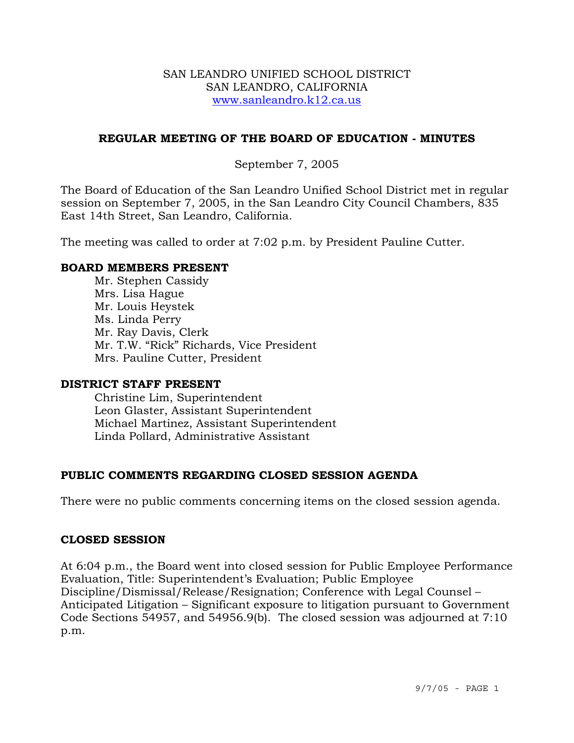#### SAN LEANDRO UNIFIED SCHOOL DISTRICT SAN LEANDRO, CALIFORNIA www.sanleandro.k12.ca.us

# **REGULAR MEETING OF THE BOARD OF EDUCATION - MINUTES**

# September 7, 2005

The Board of Education of the San Leandro Unified School District met in regular session on September 7, 2005, in the San Leandro City Council Chambers, 835 East 14th Street, San Leandro, California.

The meeting was called to order at 7:02 p.m. by President Pauline Cutter.

#### **BOARD MEMBERS PRESENT**

Mr. Stephen Cassidy Mrs. Lisa Hague Mr. Louis Heystek Ms. Linda Perry Mr. Ray Davis, Clerk Mr. T.W. "Rick" Richards, Vice President Mrs. Pauline Cutter, President

#### **DISTRICT STAFF PRESENT**

Christine Lim, Superintendent Leon Glaster, Assistant Superintendent Michael Martinez, Assistant Superintendent Linda Pollard, Administrative Assistant

# **PUBLIC COMMENTS REGARDING CLOSED SESSION AGENDA**

There were no public comments concerning items on the closed session agenda.

# **CLOSED SESSION**

At 6:04 p.m., the Board went into closed session for Public Employee Performance Evaluation, Title: Superintendent's Evaluation; Public Employee Discipline/Dismissal/Release/Resignation; Conference with Legal Counsel – Anticipated Litigation – Significant exposure to litigation pursuant to Government Code Sections 54957, and 54956.9(b). The closed session was adjourned at 7:10 p.m.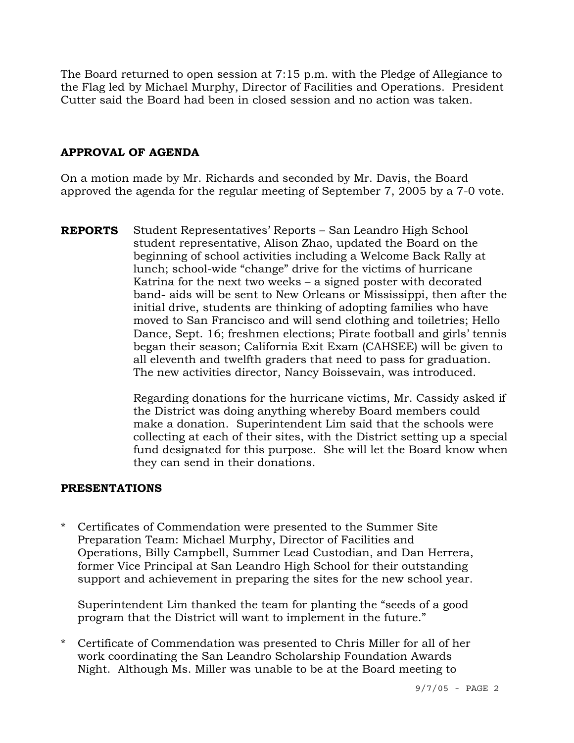The Board returned to open session at 7:15 p.m. with the Pledge of Allegiance to the Flag led by Michael Murphy, Director of Facilities and Operations. President Cutter said the Board had been in closed session and no action was taken.

# **APPROVAL OF AGENDA**

On a motion made by Mr. Richards and seconded by Mr. Davis, the Board approved the agenda for the regular meeting of September 7, 2005 by a 7-0 vote.

**REPORTS** Student Representatives' Reports – San Leandro High School student representative, Alison Zhao, updated the Board on the beginning of school activities including a Welcome Back Rally at lunch; school-wide "change" drive for the victims of hurricane Katrina for the next two weeks – a signed poster with decorated band- aids will be sent to New Orleans or Mississippi, then after the initial drive, students are thinking of adopting families who have moved to San Francisco and will send clothing and toiletries; Hello Dance, Sept. 16; freshmen elections; Pirate football and girls' tennis began their season; California Exit Exam (CAHSEE) will be given to all eleventh and twelfth graders that need to pass for graduation. The new activities director, Nancy Boissevain, was introduced.

> Regarding donations for the hurricane victims, Mr. Cassidy asked if the District was doing anything whereby Board members could make a donation. Superintendent Lim said that the schools were collecting at each of their sites, with the District setting up a special fund designated for this purpose. She will let the Board know when they can send in their donations.

# **PRESENTATIONS**

\* Certificates of Commendation were presented to the Summer Site Preparation Team: Michael Murphy, Director of Facilities and Operations, Billy Campbell, Summer Lead Custodian, and Dan Herrera, former Vice Principal at San Leandro High School for their outstanding support and achievement in preparing the sites for the new school year.

 Superintendent Lim thanked the team for planting the "seeds of a good program that the District will want to implement in the future."

\* Certificate of Commendation was presented to Chris Miller for all of her work coordinating the San Leandro Scholarship Foundation Awards Night. Although Ms. Miller was unable to be at the Board meeting to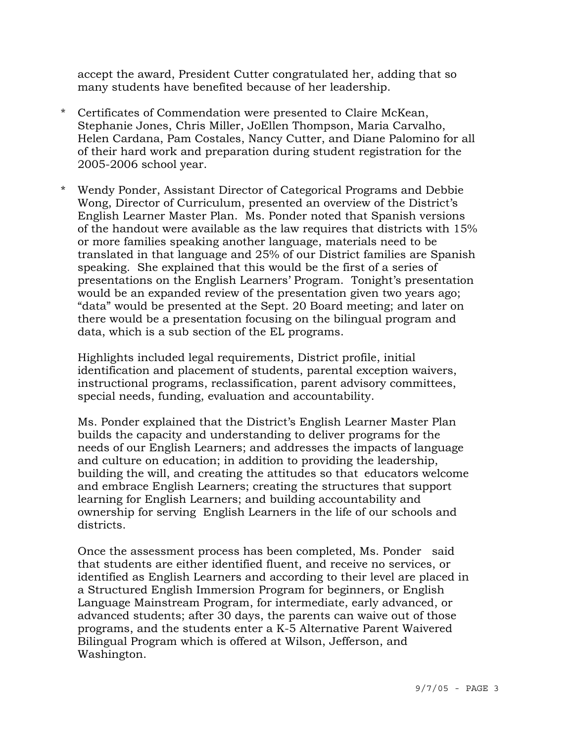accept the award, President Cutter congratulated her, adding that so many students have benefited because of her leadership.

- \* Certificates of Commendation were presented to Claire McKean, Stephanie Jones, Chris Miller, JoEllen Thompson, Maria Carvalho, Helen Cardana, Pam Costales, Nancy Cutter, and Diane Palomino for all of their hard work and preparation during student registration for the 2005-2006 school year.
- \* Wendy Ponder, Assistant Director of Categorical Programs and Debbie Wong, Director of Curriculum, presented an overview of the District's English Learner Master Plan. Ms. Ponder noted that Spanish versions of the handout were available as the law requires that districts with 15% or more families speaking another language, materials need to be translated in that language and 25% of our District families are Spanish speaking. She explained that this would be the first of a series of presentations on the English Learners' Program. Tonight's presentation would be an expanded review of the presentation given two years ago; "data" would be presented at the Sept. 20 Board meeting; and later on there would be a presentation focusing on the bilingual program and data, which is a sub section of the EL programs.

 Highlights included legal requirements, District profile, initial identification and placement of students, parental exception waivers, instructional programs, reclassification, parent advisory committees, special needs, funding, evaluation and accountability.

 Ms. Ponder explained that the District's English Learner Master Plan builds the capacity and understanding to deliver programs for the needs of our English Learners; and addresses the impacts of language and culture on education; in addition to providing the leadership, building the will, and creating the attitudes so that educators welcome and embrace English Learners; creating the structures that support learning for English Learners; and building accountability and ownership for serving English Learners in the life of our schools and districts.

 Once the assessment process has been completed, Ms. Ponder said that students are either identified fluent, and receive no services, or identified as English Learners and according to their level are placed in a Structured English Immersion Program for beginners, or English Language Mainstream Program, for intermediate, early advanced, or advanced students; after 30 days, the parents can waive out of those programs, and the students enter a K-5 Alternative Parent Waivered Bilingual Program which is offered at Wilson, Jefferson, and Washington.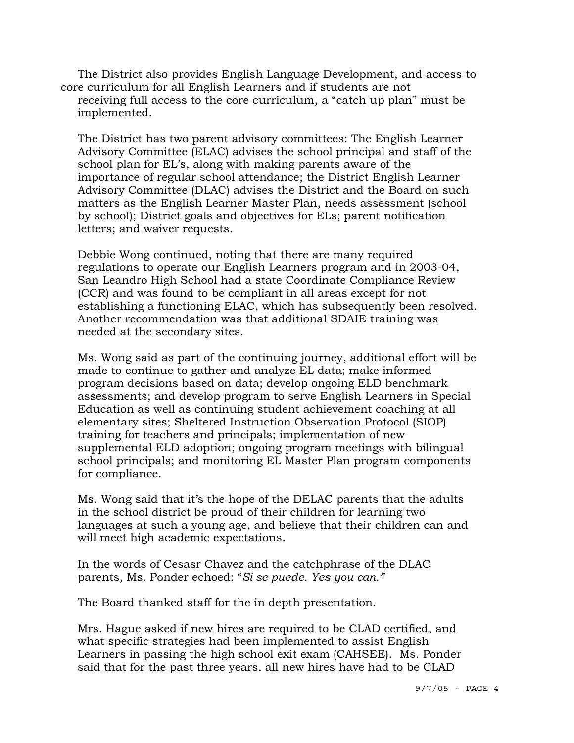The District also provides English Language Development, and access to core curriculum for all English Learners and if students are not receiving full access to the core curriculum, a "catch up plan" must be implemented.

 The District has two parent advisory committees: The English Learner Advisory Committee (ELAC) advises the school principal and staff of the school plan for EL's, along with making parents aware of the importance of regular school attendance; the District English Learner Advisory Committee (DLAC) advises the District and the Board on such matters as the English Learner Master Plan, needs assessment (school by school); District goals and objectives for ELs; parent notification letters; and waiver requests.

Debbie Wong continued, noting that there are many required regulations to operate our English Learners program and in 2003-04, San Leandro High School had a state Coordinate Compliance Review (CCR) and was found to be compliant in all areas except for not establishing a functioning ELAC, which has subsequently been resolved. Another recommendation was that additional SDAIE training was needed at the secondary sites.

Ms. Wong said as part of the continuing journey, additional effort will be made to continue to gather and analyze EL data; make informed program decisions based on data; develop ongoing ELD benchmark assessments; and develop program to serve English Learners in Special Education as well as continuing student achievement coaching at all elementary sites; Sheltered Instruction Observation Protocol (SIOP) training for teachers and principals; implementation of new supplemental ELD adoption; ongoing program meetings with bilingual school principals; and monitoring EL Master Plan program components for compliance.

Ms. Wong said that it's the hope of the DELAC parents that the adults in the school district be proud of their children for learning two languages at such a young age, and believe that their children can and will meet high academic expectations.

In the words of Cesasr Chavez and the catchphrase of the DLAC parents, Ms. Ponder echoed: "*Si se puede. Yes you can."*

The Board thanked staff for the in depth presentation.

Mrs. Hague asked if new hires are required to be CLAD certified, and what specific strategies had been implemented to assist English Learners in passing the high school exit exam (CAHSEE). Ms. Ponder said that for the past three years, all new hires have had to be CLAD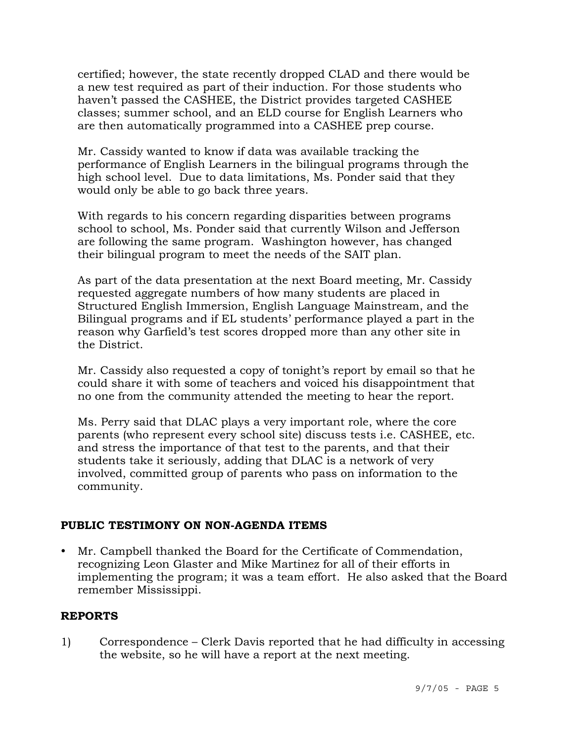certified; however, the state recently dropped CLAD and there would be a new test required as part of their induction. For those students who haven't passed the CASHEE, the District provides targeted CASHEE classes; summer school, and an ELD course for English Learners who are then automatically programmed into a CASHEE prep course.

Mr. Cassidy wanted to know if data was available tracking the performance of English Learners in the bilingual programs through the high school level. Due to data limitations, Ms. Ponder said that they would only be able to go back three years.

With regards to his concern regarding disparities between programs school to school, Ms. Ponder said that currently Wilson and Jefferson are following the same program. Washington however, has changed their bilingual program to meet the needs of the SAIT plan.

As part of the data presentation at the next Board meeting, Mr. Cassidy requested aggregate numbers of how many students are placed in Structured English Immersion, English Language Mainstream, and the Bilingual programs and if EL students' performance played a part in the reason why Garfield's test scores dropped more than any other site in the District.

Mr. Cassidy also requested a copy of tonight's report by email so that he could share it with some of teachers and voiced his disappointment that no one from the community attended the meeting to hear the report.

Ms. Perry said that DLAC plays a very important role, where the core parents (who represent every school site) discuss tests i.e. CASHEE, etc. and stress the importance of that test to the parents, and that their students take it seriously, adding that DLAC is a network of very involved, committed group of parents who pass on information to the community.

# **PUBLIC TESTIMONY ON NON-AGENDA ITEMS**

Mr. Campbell thanked the Board for the Certificate of Commendation, recognizing Leon Glaster and Mike Martinez for all of their efforts in implementing the program; it was a team effort. He also asked that the Board remember Mississippi.

#### **REPORTS**

1) Correspondence – Clerk Davis reported that he had difficulty in accessing the website, so he will have a report at the next meeting.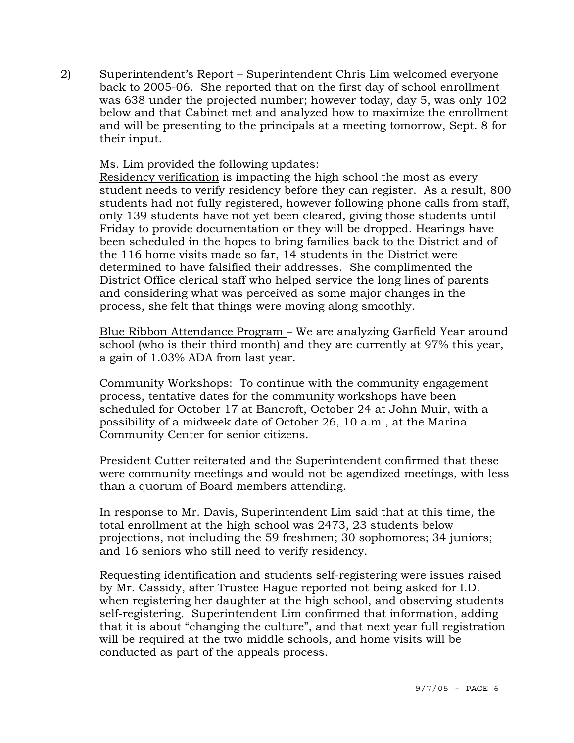2) Superintendent's Report – Superintendent Chris Lim welcomed everyone back to 2005-06. She reported that on the first day of school enrollment was 638 under the projected number; however today, day 5, was only 102 below and that Cabinet met and analyzed how to maximize the enrollment and will be presenting to the principals at a meeting tomorrow, Sept. 8 for their input.

Ms. Lim provided the following updates:

Residency verification is impacting the high school the most as every student needs to verify residency before they can register. As a result, 800 students had not fully registered, however following phone calls from staff, only 139 students have not yet been cleared, giving those students until Friday to provide documentation or they will be dropped. Hearings have been scheduled in the hopes to bring families back to the District and of the 116 home visits made so far, 14 students in the District were determined to have falsified their addresses. She complimented the District Office clerical staff who helped service the long lines of parents and considering what was perceived as some major changes in the process, she felt that things were moving along smoothly.

Blue Ribbon Attendance Program – We are analyzing Garfield Year around school (who is their third month) and they are currently at 97% this year, a gain of 1.03% ADA from last year.

Community Workshops: To continue with the community engagement process, tentative dates for the community workshops have been scheduled for October 17 at Bancroft, October 24 at John Muir, with a possibility of a midweek date of October 26, 10 a.m., at the Marina Community Center for senior citizens.

President Cutter reiterated and the Superintendent confirmed that these were community meetings and would not be agendized meetings, with less than a quorum of Board members attending.

In response to Mr. Davis, Superintendent Lim said that at this time, the total enrollment at the high school was 2473, 23 students below projections, not including the 59 freshmen; 30 sophomores; 34 juniors; and 16 seniors who still need to verify residency.

Requesting identification and students self-registering were issues raised by Mr. Cassidy, after Trustee Hague reported not being asked for I.D. when registering her daughter at the high school, and observing students self-registering. Superintendent Lim confirmed that information, adding that it is about "changing the culture", and that next year full registration will be required at the two middle schools, and home visits will be conducted as part of the appeals process.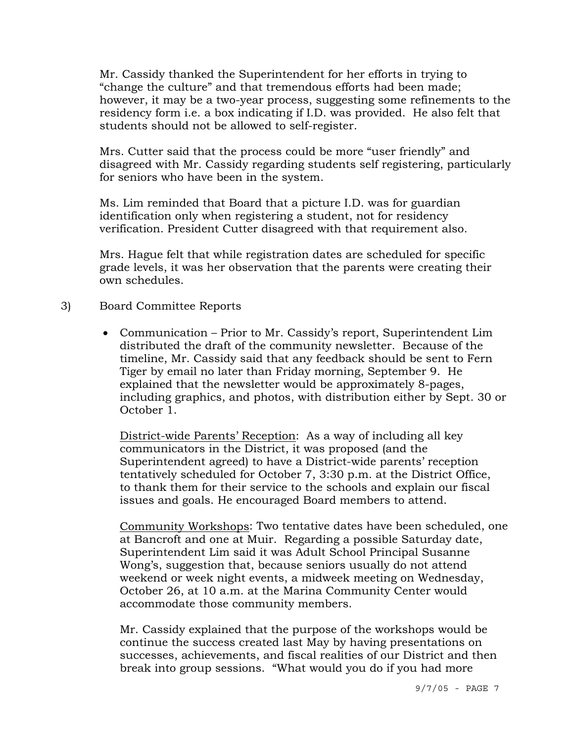Mr. Cassidy thanked the Superintendent for her efforts in trying to "change the culture" and that tremendous efforts had been made; however, it may be a two-year process, suggesting some refinements to the residency form i.e. a box indicating if I.D. was provided. He also felt that students should not be allowed to self-register.

Mrs. Cutter said that the process could be more "user friendly" and disagreed with Mr. Cassidy regarding students self registering, particularly for seniors who have been in the system.

Ms. Lim reminded that Board that a picture I.D. was for guardian identification only when registering a student, not for residency verification. President Cutter disagreed with that requirement also.

Mrs. Hague felt that while registration dates are scheduled for specific grade levels, it was her observation that the parents were creating their own schedules.

#### 3) Board Committee Reports

• Communication – Prior to Mr. Cassidy's report, Superintendent Lim distributed the draft of the community newsletter. Because of the timeline, Mr. Cassidy said that any feedback should be sent to Fern Tiger by email no later than Friday morning, September 9. He explained that the newsletter would be approximately 8-pages, including graphics, and photos, with distribution either by Sept. 30 or October 1.

 District-wide Parents' Reception: As a way of including all key communicators in the District, it was proposed (and the Superintendent agreed) to have a District-wide parents' reception tentatively scheduled for October 7, 3:30 p.m. at the District Office, to thank them for their service to the schools and explain our fiscal issues and goals. He encouraged Board members to attend.

 Community Workshops: Two tentative dates have been scheduled, one at Bancroft and one at Muir. Regarding a possible Saturday date, Superintendent Lim said it was Adult School Principal Susanne Wong's, suggestion that, because seniors usually do not attend weekend or week night events, a midweek meeting on Wednesday, October 26, at 10 a.m. at the Marina Community Center would accommodate those community members.

 Mr. Cassidy explained that the purpose of the workshops would be continue the success created last May by having presentations on successes, achievements, and fiscal realities of our District and then break into group sessions. "What would you do if you had more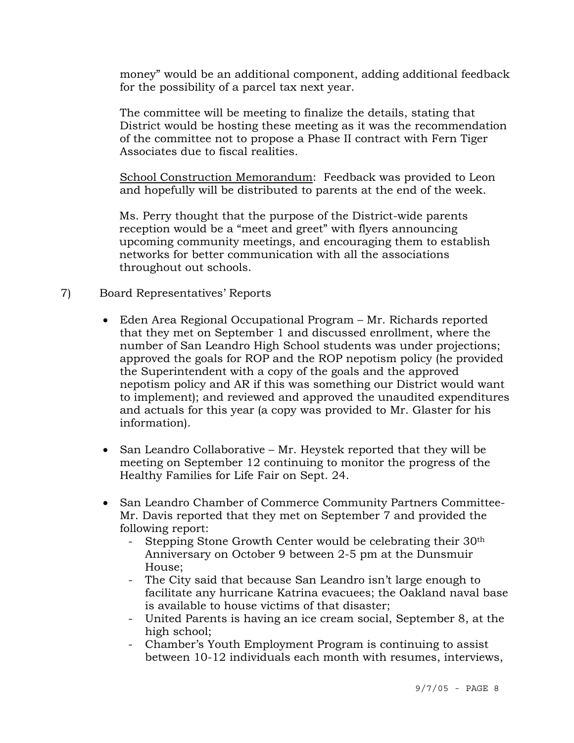money" would be an additional component, adding additional feedback for the possibility of a parcel tax next year.

 The committee will be meeting to finalize the details, stating that District would be hosting these meeting as it was the recommendation of the committee not to propose a Phase II contract with Fern Tiger Associates due to fiscal realities.

 School Construction Memorandum: Feedback was provided to Leon and hopefully will be distributed to parents at the end of the week.

 Ms. Perry thought that the purpose of the District-wide parents reception would be a "meet and greet" with flyers announcing upcoming community meetings, and encouraging them to establish networks for better communication with all the associations throughout out schools.

# 7) Board Representatives' Reports

- Eden Area Regional Occupational Program Mr. Richards reported that they met on September 1 and discussed enrollment, where the number of San Leandro High School students was under projections; approved the goals for ROP and the ROP nepotism policy (he provided the Superintendent with a copy of the goals and the approved nepotism policy and AR if this was something our District would want to implement); and reviewed and approved the unaudited expenditures and actuals for this year (a copy was provided to Mr. Glaster for his information).
- San Leandro Collaborative Mr. Heystek reported that they will be meeting on September 12 continuing to monitor the progress of the Healthy Families for Life Fair on Sept. 24.
- San Leandro Chamber of Commerce Community Partners Committee-Mr. Davis reported that they met on September 7 and provided the following report:
	- Stepping Stone Growth Center would be celebrating their 30<sup>th</sup> Anniversary on October 9 between 2-5 pm at the Dunsmuir House;
	- The City said that because San Leandro isn't large enough to facilitate any hurricane Katrina evacuees; the Oakland naval base is available to house victims of that disaster;
	- United Parents is having an ice cream social, September 8, at the high school;
	- Chamber's Youth Employment Program is continuing to assist between 10-12 individuals each month with resumes, interviews,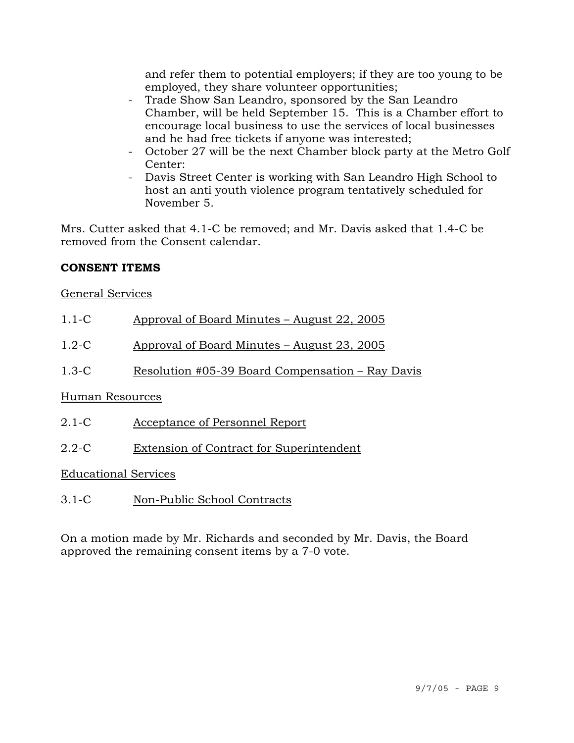and refer them to potential employers; if they are too young to be employed, they share volunteer opportunities;

- Trade Show San Leandro, sponsored by the San Leandro Chamber, will be held September 15. This is a Chamber effort to encourage local business to use the services of local businesses and he had free tickets if anyone was interested;
- October 27 will be the next Chamber block party at the Metro Golf Center:
- Davis Street Center is working with San Leandro High School to host an anti youth violence program tentatively scheduled for November 5.

Mrs. Cutter asked that 4.1-C be removed; and Mr. Davis asked that 1.4-C be removed from the Consent calendar.

# **CONSENT ITEMS**

# General Services

|--|

- 1.2-C Approval of Board Minutes August 23, 2005
- 1.3-C Resolution #05-39 Board Compensation Ray Davis

# Human Resources

- 2.1-C Acceptance of Personnel Report
- 2.2-C Extension of Contract for Superintendent

# Educational Services

3.1-C Non-Public School Contracts

On a motion made by Mr. Richards and seconded by Mr. Davis, the Board approved the remaining consent items by a 7-0 vote.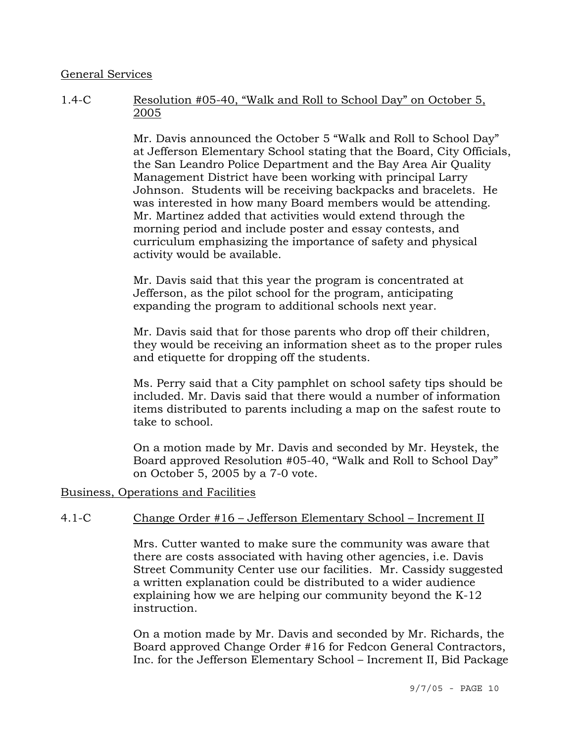#### General Services

# 1.4-C Resolution #05-40, "Walk and Roll to School Day" on October 5, 2005

Mr. Davis announced the October 5 "Walk and Roll to School Day" at Jefferson Elementary School stating that the Board, City Officials, the San Leandro Police Department and the Bay Area Air Quality Management District have been working with principal Larry Johnson. Students will be receiving backpacks and bracelets. He was interested in how many Board members would be attending. Mr. Martinez added that activities would extend through the morning period and include poster and essay contests, and curriculum emphasizing the importance of safety and physical activity would be available.

Mr. Davis said that this year the program is concentrated at Jefferson, as the pilot school for the program, anticipating expanding the program to additional schools next year.

Mr. Davis said that for those parents who drop off their children, they would be receiving an information sheet as to the proper rules and etiquette for dropping off the students.

Ms. Perry said that a City pamphlet on school safety tips should be included. Mr. Davis said that there would a number of information items distributed to parents including a map on the safest route to take to school.

On a motion made by Mr. Davis and seconded by Mr. Heystek, the Board approved Resolution #05-40, "Walk and Roll to School Day" on October 5, 2005 by a 7-0 vote.

#### Business, Operations and Facilities

# 4.1-C Change Order #16 – Jefferson Elementary School – Increment II

Mrs. Cutter wanted to make sure the community was aware that there are costs associated with having other agencies, i.e. Davis Street Community Center use our facilities. Mr. Cassidy suggested a written explanation could be distributed to a wider audience explaining how we are helping our community beyond the K-12 instruction.

On a motion made by Mr. Davis and seconded by Mr. Richards, the Board approved Change Order #16 for Fedcon General Contractors, Inc. for the Jefferson Elementary School – Increment II, Bid Package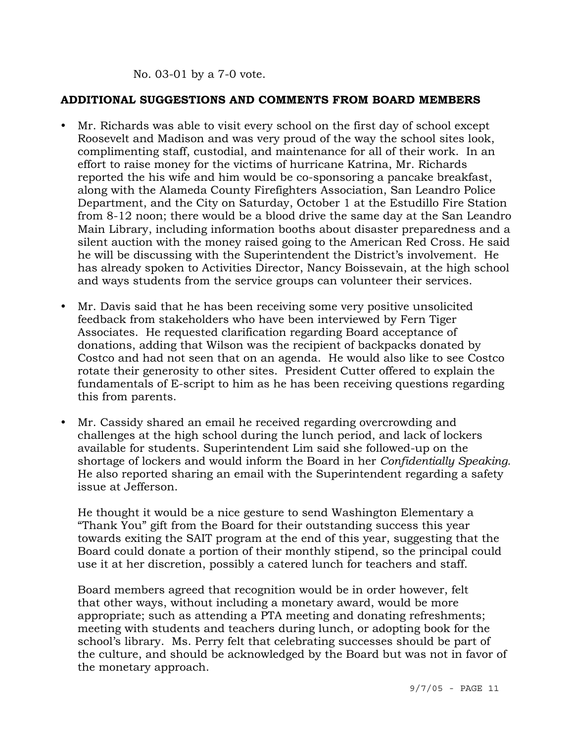#### No. 03-01 by a 7-0 vote.

#### **ADDITIONAL SUGGESTIONS AND COMMENTS FROM BOARD MEMBERS**

- y Mr. Richards was able to visit every school on the first day of school except Roosevelt and Madison and was very proud of the way the school sites look, complimenting staff, custodial, and maintenance for all of their work. In an effort to raise money for the victims of hurricane Katrina, Mr. Richards reported the his wife and him would be co-sponsoring a pancake breakfast, along with the Alameda County Firefighters Association, San Leandro Police Department, and the City on Saturday, October 1 at the Estudillo Fire Station from 8-12 noon; there would be a blood drive the same day at the San Leandro Main Library, including information booths about disaster preparedness and a silent auction with the money raised going to the American Red Cross. He said he will be discussing with the Superintendent the District's involvement. He has already spoken to Activities Director, Nancy Boissevain, at the high school and ways students from the service groups can volunteer their services.
- Mr. Davis said that he has been receiving some very positive unsolicited feedback from stakeholders who have been interviewed by Fern Tiger Associates. He requested clarification regarding Board acceptance of donations, adding that Wilson was the recipient of backpacks donated by Costco and had not seen that on an agenda. He would also like to see Costco rotate their generosity to other sites. President Cutter offered to explain the fundamentals of E-script to him as he has been receiving questions regarding this from parents.
- Mr. Cassidy shared an email he received regarding overcrowding and challenges at the high school during the lunch period, and lack of lockers available for students. Superintendent Lim said she followed-up on the shortage of lockers and would inform the Board in her *Confidentially Speaking.*  He also reported sharing an email with the Superintendent regarding a safety issue at Jefferson.

 He thought it would be a nice gesture to send Washington Elementary a "Thank You" gift from the Board for their outstanding success this year towards exiting the SAIT program at the end of this year, suggesting that the Board could donate a portion of their monthly stipend, so the principal could use it at her discretion, possibly a catered lunch for teachers and staff.

 Board members agreed that recognition would be in order however, felt that other ways, without including a monetary award, would be more appropriate; such as attending a PTA meeting and donating refreshments; meeting with students and teachers during lunch, or adopting book for the school's library. Ms. Perry felt that celebrating successes should be part of the culture, and should be acknowledged by the Board but was not in favor of the monetary approach.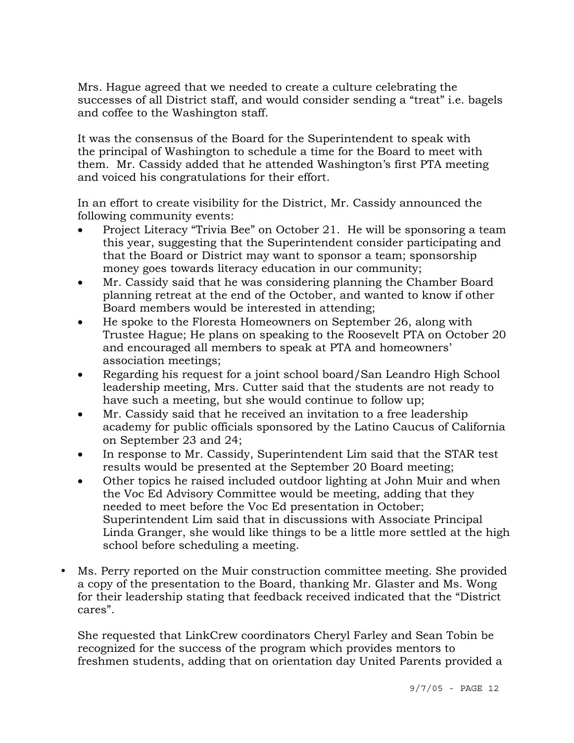Mrs. Hague agreed that we needed to create a culture celebrating the successes of all District staff, and would consider sending a "treat" i.e. bagels and coffee to the Washington staff.

 It was the consensus of the Board for the Superintendent to speak with the principal of Washington to schedule a time for the Board to meet with them. Mr. Cassidy added that he attended Washington's first PTA meeting and voiced his congratulations for their effort.

 In an effort to create visibility for the District, Mr. Cassidy announced the following community events:

- Project Literacy "Trivia Bee" on October 21. He will be sponsoring a team this year, suggesting that the Superintendent consider participating and that the Board or District may want to sponsor a team; sponsorship money goes towards literacy education in our community;
- Mr. Cassidy said that he was considering planning the Chamber Board planning retreat at the end of the October, and wanted to know if other Board members would be interested in attending;
- He spoke to the Floresta Homeowners on September 26, along with Trustee Hague; He plans on speaking to the Roosevelt PTA on October 20 and encouraged all members to speak at PTA and homeowners' association meetings;
- Regarding his request for a joint school board/San Leandro High School leadership meeting, Mrs. Cutter said that the students are not ready to have such a meeting, but she would continue to follow up;
- Mr. Cassidy said that he received an invitation to a free leadership academy for public officials sponsored by the Latino Caucus of California on September 23 and 24;
- In response to Mr. Cassidy, Superintendent Lim said that the STAR test results would be presented at the September 20 Board meeting;
- Other topics he raised included outdoor lighting at John Muir and when the Voc Ed Advisory Committee would be meeting, adding that they needed to meet before the Voc Ed presentation in October; Superintendent Lim said that in discussions with Associate Principal Linda Granger, she would like things to be a little more settled at the high school before scheduling a meeting.
- y Ms. Perry reported on the Muir construction committee meeting. She provided a copy of the presentation to the Board, thanking Mr. Glaster and Ms. Wong for their leadership stating that feedback received indicated that the "District cares".

 She requested that LinkCrew coordinators Cheryl Farley and Sean Tobin be recognized for the success of the program which provides mentors to freshmen students, adding that on orientation day United Parents provided a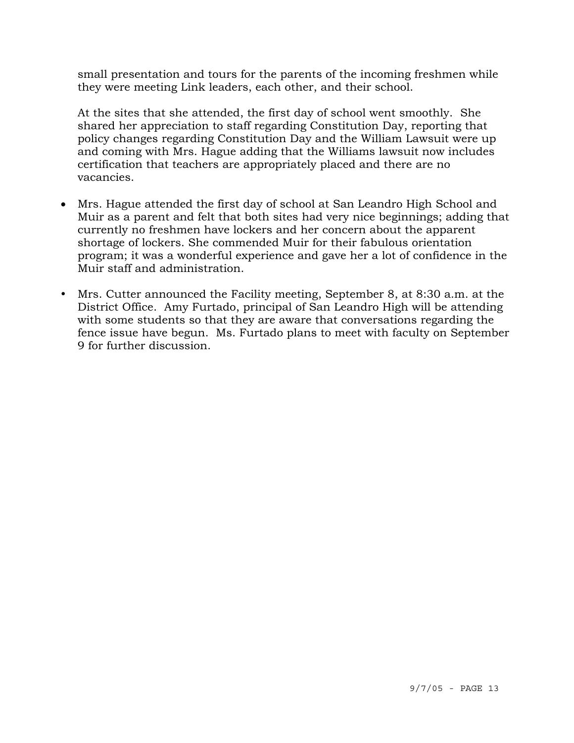small presentation and tours for the parents of the incoming freshmen while they were meeting Link leaders, each other, and their school.

 At the sites that she attended, the first day of school went smoothly. She shared her appreciation to staff regarding Constitution Day, reporting that policy changes regarding Constitution Day and the William Lawsuit were up and coming with Mrs. Hague adding that the Williams lawsuit now includes certification that teachers are appropriately placed and there are no vacancies.

- Mrs. Hague attended the first day of school at San Leandro High School and Muir as a parent and felt that both sites had very nice beginnings; adding that currently no freshmen have lockers and her concern about the apparent shortage of lockers. She commended Muir for their fabulous orientation program; it was a wonderful experience and gave her a lot of confidence in the Muir staff and administration.
- y Mrs. Cutter announced the Facility meeting, September 8, at 8:30 a.m. at the District Office. Amy Furtado, principal of San Leandro High will be attending with some students so that they are aware that conversations regarding the fence issue have begun. Ms. Furtado plans to meet with faculty on September 9 for further discussion.